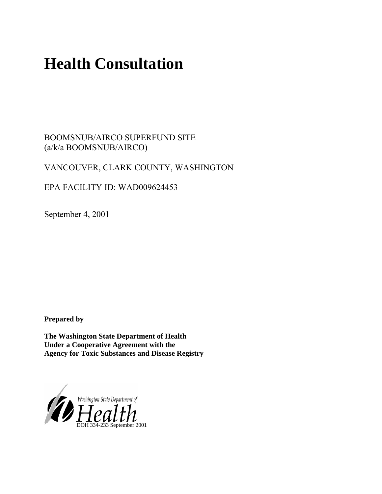# **Health Consultation**

BOOMSNUB/AIRCO SUPERFUND SITE (a/k/a BOOMSNUB/AIRCO)

# VANCOUVER, CLARK COUNTY, WASHINGTON

EPA FACILITY ID: WAD009624453

September 4, 2001

**Prepared by** 

**The Washington State Department of Health Under a Cooperative Agreement with the Agency for Toxic Substances and Disease Registry**

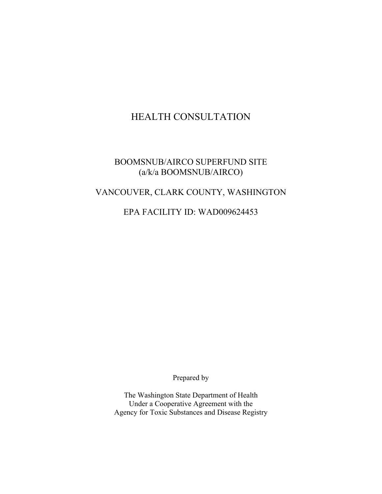# HEALTH CONSULTATION

# BOOMSNUB/AIRCO SUPERFUND SITE (a/k/a BOOMSNUB/AIRCO)

# VANCOUVER, CLARK COUNTY, WASHINGTON

# EPA FACILITY ID: WAD009624453

Prepared by

The Washington State Department of Health Under a Cooperative Agreement with the Agency for Toxic Substances and Disease Registry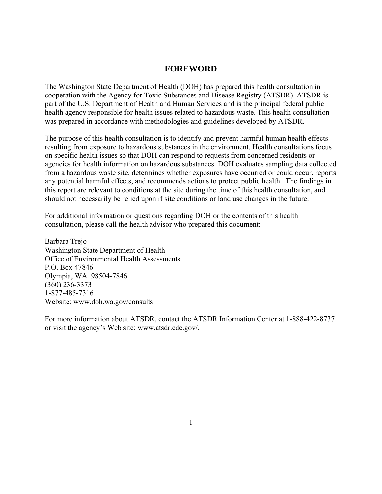#### **FOREWORD**

The Washington State Department of Health (DOH) has prepared this health consultation in cooperation with the Agency for Toxic Substances and Disease Registry (ATSDR). ATSDR is part of the U.S. Department of Health and Human Services and is the principal federal public health agency responsible for health issues related to hazardous waste. This health consultation was prepared in accordance with methodologies and guidelines developed by ATSDR.

The purpose of this health consultation is to identify and prevent harmful human health effects resulting from exposure to hazardous substances in the environment. Health consultations focus on specific health issues so that DOH can respond to requests from concerned residents or agencies for health information on hazardous substances. DOH evaluates sampling data collected from a hazardous waste site, determines whether exposures have occurred or could occur, reports any potential harmful effects, and recommends actions to protect public health. The findings in this report are relevant to conditions at the site during the time of this health consultation, and should not necessarily be relied upon if site conditions or land use changes in the future.

For additional information or questions regarding DOH or the contents of this health consultation, please call the health advisor who prepared this document:

Barbara Trejo Washington State Department of Health Office of Environmental Health Assessments P.O. Box 47846 Olympia, WA 98504-7846 (360) 236-3373 1-877-485-7316 Website: [www.doh.wa.gov/consults](http://www.doh.wa.gov/consults) 

For more information about ATSDR, contact the ATSDR Information Center at 1-888-422-8737 or visit the agency's Web site: www.atsdr.cdc.gov/.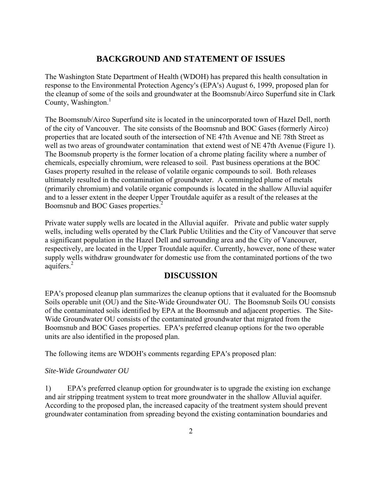## **BACKGROUND AND STATEMENT OF ISSUES**

The Washington State Department of Health (WDOH) has prepared this health consultation in response to the Environmental Protection Agency's (EPA's) August 6, 1999, proposed plan for the cleanup of some of the soils and groundwater at the Boomsnub/Airco Superfund site in Clark County, Washington.<sup>1</sup>

The Boomsnub/Airco Superfund site is located in the unincorporated town of Hazel Dell, north of the city of Vancouver. The site consists of the Boomsnub and BOC Gases (formerly Airco) properties that are located south of the intersection of NE 47th Avenue and NE 78th Street as well as two areas of groundwater contamination that extend west of NE 47th Avenue (Figure 1). The Boomsnub property is the former location of a chrome plating facility where a number of chemicals, especially chromium, were released to soil. Past business operations at the BOC Gases property resulted in the release of volatile organic compounds to soil. Both releases ultimately resulted in the contamination of groundwater. A commingled plume of metals (primarily chromium) and volatile organic compounds is located in the shallow Alluvial aquifer and to a lesser extent in the deeper Upper Troutdale aquifer as a result of the releases at the Boomsnub and BOC Gases properties.<sup>2</sup>

Private water supply wells are located in the Alluvial aquifer. Private and public water supply wells, including wells operated by the Clark Public Utilities and the City of Vancouver that serve a significant population in the Hazel Dell and surrounding area and the City of Vancouver, respectively, are located in the Upper Troutdale aquifer. Currently, however, none of these water supply wells withdraw groundwater for domestic use from the contaminated portions of the two aquifers. $^{2}$ 

### **DISCUSSION**

EPA's proposed cleanup plan summarizes the cleanup options that it evaluated for the Boomsnub Soils operable unit (OU) and the Site-Wide Groundwater OU. The Boomsnub Soils OU consists of the contaminated soils identified by EPA at the Boomsnub and adjacent properties. The Site-Wide Groundwater OU consists of the contaminated groundwater that migrated from the Boomsnub and BOC Gases properties. EPA's preferred cleanup options for the two operable units are also identified in the proposed plan.

The following items are WDOH's comments regarding EPA's proposed plan:

#### *Site-Wide Groundwater OU*

1) EPA's preferred cleanup option for groundwater is to upgrade the existing ion exchange and air stripping treatment system to treat more groundwater in the shallow Alluvial aquifer. According to the proposed plan, the increased capacity of the treatment system should prevent groundwater contamination from spreading beyond the existing contamination boundaries and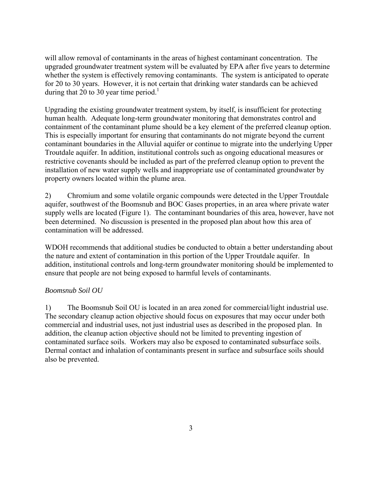will allow removal of contaminants in the areas of highest contaminant concentration. The upgraded groundwater treatment system will be evaluated by EPA after five years to determine whether the system is effectively removing contaminants. The system is anticipated to operate for 20 to 30 years. However, it is not certain that drinking water standards can be achieved during that 20 to 30 year time period.<sup>1</sup>

Upgrading the existing groundwater treatment system, by itself, is insufficient for protecting human health. Adequate long-term groundwater monitoring that demonstrates control and containment of the contaminant plume should be a key element of the preferred cleanup option. This is especially important for ensuring that contaminants do not migrate beyond the current contaminant boundaries in the Alluvial aquifer or continue to migrate into the underlying Upper Troutdale aquifer. In addition, institutional controls such as ongoing educational measures or restrictive covenants should be included as part of the preferred cleanup option to prevent the installation of new water supply wells and inappropriate use of contaminated groundwater by property owners located within the plume area.

2) Chromium and some volatile organic compounds were detected in the Upper Troutdale aquifer, southwest of the Boomsnub and BOC Gases properties, in an area where private water supply wells are located (Figure 1). The contaminant boundaries of this area, however, have not been determined. No discussion is presented in the proposed plan about how this area of contamination will be addressed.

WDOH recommends that additional studies be conducted to obtain a better understanding about the nature and extent of contamination in this portion of the Upper Troutdale aquifer. In addition, institutional controls and long-term groundwater monitoring should be implemented to ensure that people are not being exposed to harmful levels of contaminants.

#### *Boomsnub Soil OU*

1) The Boomsnub Soil OU is located in an area zoned for commercial/light industrial use. The secondary cleanup action objective should focus on exposures that may occur under both commercial and industrial uses, not just industrial uses as described in the proposed plan. In addition, the cleanup action objective should not be limited to preventing ingestion of contaminated surface soils. Workers may also be exposed to contaminated subsurface soils. Dermal contact and inhalation of contaminants present in surface and subsurface soils should also be prevented.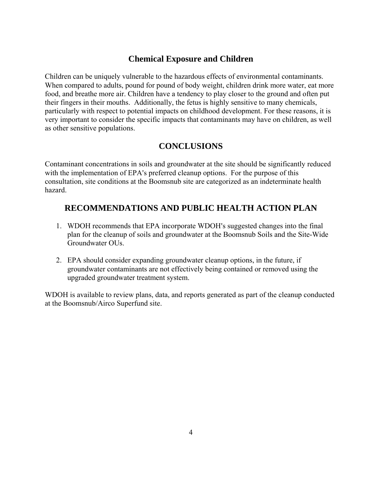# **Chemical Exposure and Children**

Children can be uniquely vulnerable to the hazardous effects of environmental contaminants. When compared to adults, pound for pound of body weight, children drink more water, eat more food, and breathe more air. Children have a tendency to play closer to the ground and often put their fingers in their mouths. Additionally, the fetus is highly sensitive to many chemicals, particularly with respect to potential impacts on childhood development. For these reasons, it is very important to consider the specific impacts that contaminants may have on children, as well as other sensitive populations.

## **CONCLUSIONS**

Contaminant concentrations in soils and groundwater at the site should be significantly reduced with the implementation of EPA's preferred cleanup options. For the purpose of this consultation, site conditions at the Boomsnub site are categorized as an indeterminate health hazard.

## **RECOMMENDATIONS AND PUBLIC HEALTH ACTION PLAN**

- 1. WDOH recommends that EPA incorporate WDOH's suggested changes into the final plan for the cleanup of soils and groundwater at the Boomsnub Soils and the Site-Wide Groundwater OUs.
- 2. EPA should consider expanding groundwater cleanup options, in the future, if groundwater contaminants are not effectively being contained or removed using the upgraded groundwater treatment system.

WDOH is available to review plans, data, and reports generated as part of the cleanup conducted at the Boomsnub/Airco Superfund site.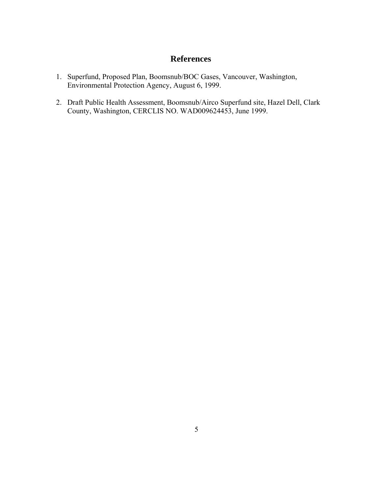# **References**

- 1. Superfund, Proposed Plan, Boomsnub/BOC Gases, Vancouver, Washington, Environmental Protection Agency, August 6, 1999.
- 2. Draft Public Health Assessment, Boomsnub/Airco Superfund site, Hazel Dell, Clark County, Washington, CERCLIS NO. WAD009624453, June 1999.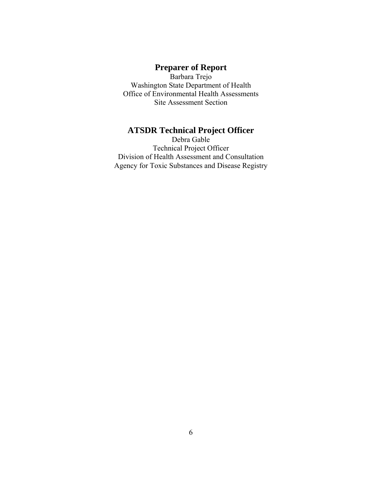# **Preparer of Report**

Barbara Trejo Washington State Department of Health Office of Environmental Health Assessments Site Assessment Section

# **ATSDR Technical Project Officer**

Debra Gable Technical Project Officer Division of Health Assessment and Consultation Agency for Toxic Substances and Disease Registry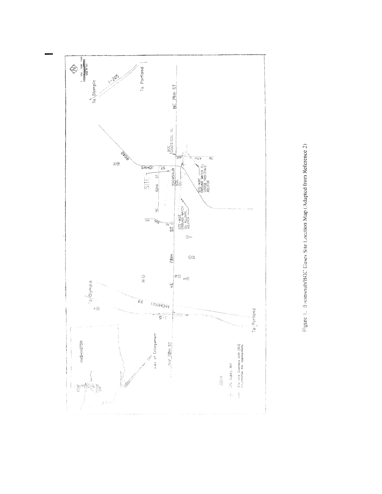

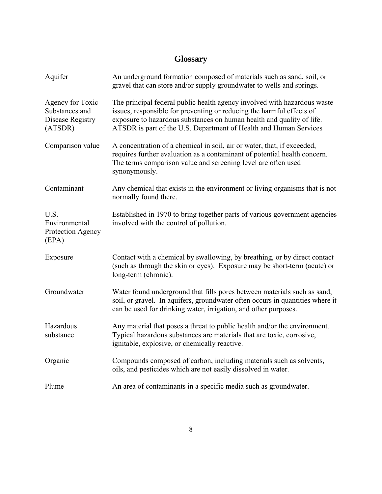# **Glossary**

| Aquifer                                                           | An underground formation composed of materials such as sand, soil, or<br>gravel that can store and/or supply groundwater to wells and springs.                                                                                                                                                  |
|-------------------------------------------------------------------|-------------------------------------------------------------------------------------------------------------------------------------------------------------------------------------------------------------------------------------------------------------------------------------------------|
| Agency for Toxic<br>Substances and<br>Disease Registry<br>(ATSDR) | The principal federal public health agency involved with hazardous waste<br>issues, responsible for preventing or reducing the harmful effects of<br>exposure to hazardous substances on human health and quality of life.<br>ATSDR is part of the U.S. Department of Health and Human Services |
| Comparison value                                                  | A concentration of a chemical in soil, air or water, that, if exceeded,<br>requires further evaluation as a contaminant of potential health concern.<br>The terms comparison value and screening level are often used<br>synonymously.                                                          |
| Contaminant                                                       | Any chemical that exists in the environment or living organisms that is not<br>normally found there.                                                                                                                                                                                            |
| U.S.<br>Environmental<br>Protection Agency<br>(EPA)               | Established in 1970 to bring together parts of various government agencies<br>involved with the control of pollution.                                                                                                                                                                           |
| Exposure                                                          | Contact with a chemical by swallowing, by breathing, or by direct contact<br>(such as through the skin or eyes). Exposure may be short-term (acute) or<br>long-term (chronic).                                                                                                                  |
| Groundwater                                                       | Water found underground that fills pores between materials such as sand,<br>soil, or gravel. In aquifers, groundwater often occurs in quantities where it<br>can be used for drinking water, irrigation, and other purposes.                                                                    |
| Hazardous<br>substance                                            | Any material that poses a threat to public health and/or the environment.<br>Typical hazardous substances are materials that are toxic, corrosive,<br>ignitable, explosive, or chemically reactive.                                                                                             |
| Organic                                                           | Compounds composed of carbon, including materials such as solvents,<br>oils, and pesticides which are not easily dissolved in water.                                                                                                                                                            |
| Plume                                                             | An area of contaminants in a specific media such as groundwater.                                                                                                                                                                                                                                |